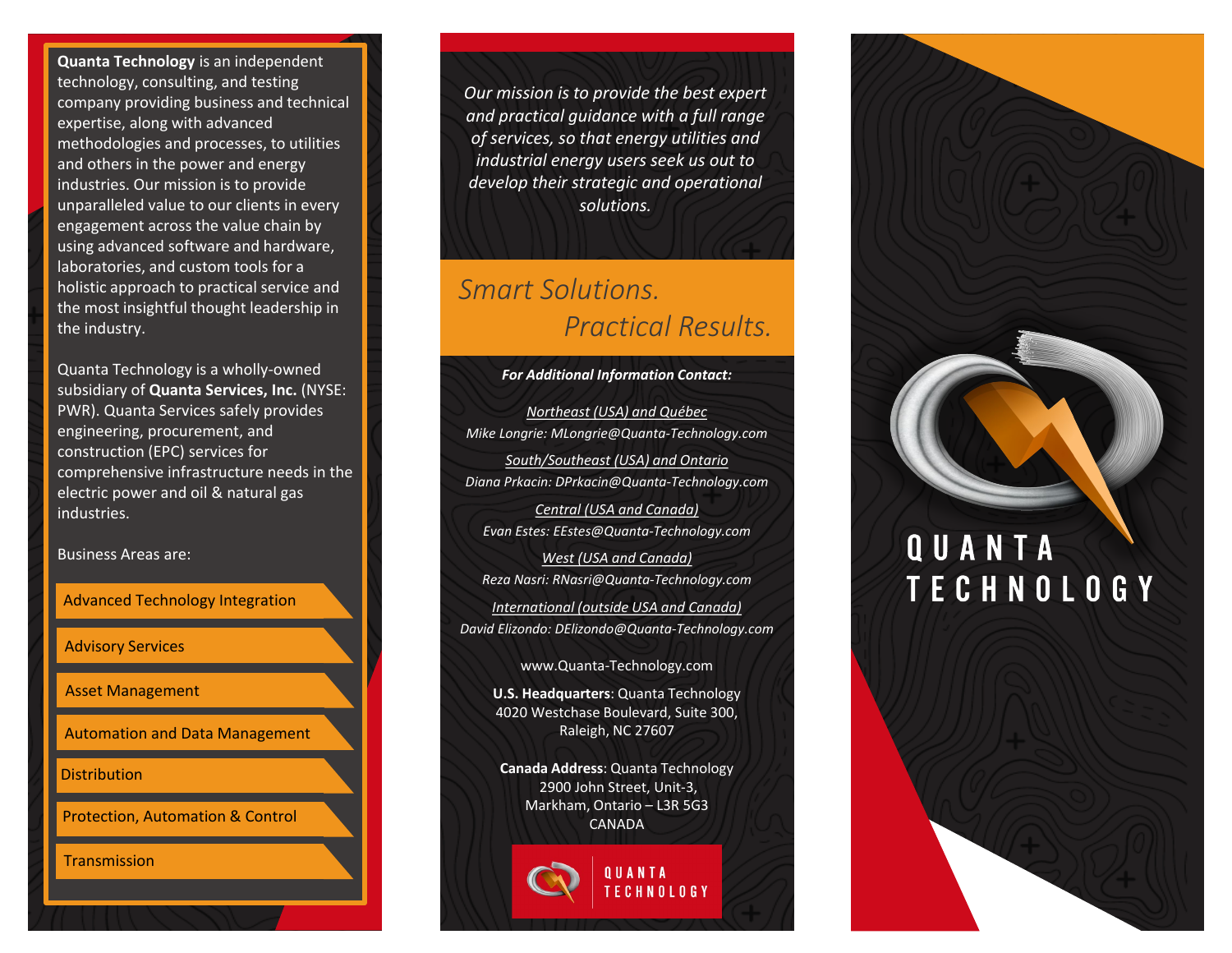**Quanta Technology** is an independent technology, consulting, and testing company providing business and technical expertise, along with advanced methodologies and processes, to utilities and others in the power and energy industries. Our mission is to provide unparalleled value to our clients in every engagement across the value chain by using advanced software and hardware, laboratories, and custom tools for a holistic approach to practical service and the most insightful thought leadership in the industry.

Quanta Technology is a wholly-owned subsidiary of **Quanta Services, Inc.** (NYSE: PWR). Quanta Services safely provides engineering, procurement, and construction (EPC) services for comprehensive infrastructure needs in the electric power and oil & natural gas industries.

Business Areas are:

Advisory Services Advanced Technology Integration

Asset Management

Automation and Data Management

**Distribution** 

Protection, Automation & Control

**Transmission** 

*Our mission is to provide the best expert and practical guidance with a full range of services, so that energy utilities and industrial energy users seek us out to develop their strategic and operational solutions.*

# *Smart Solutions. Practical Results.*

*For Additional Information Contact:*

*Northeast (USA) and Québec Mike Longrie: MLongrie@Quanta-Technology.com* 

*South/Southeast (USA) and Ontario Diana Prkacin: DPrkacin@Quanta-Technology.com* 

*Central (USA and Canada) Evan Estes: EEstes@Quanta-Technology.com* 

*West (USA and Canada) Reza Nasri: RNasri@Quanta-Technology.com* 

*International (outside USA and Canada) David Elizondo: DElizondo@Quanta-Technology.com* 

www.Quanta-Technology.com

**U.S. Headquarters**: Quanta Technology 4020 Westchase Boulevard, Suite 300, Raleigh, NC 27607

**Canada Address**: Quanta Technology 2900 John Street, Unit-3, Markham, Ontario – L3R 5G3 CANADA

> **QUANTA TECHNOLOGY**

# QUANTA **TECHNOLOGY**